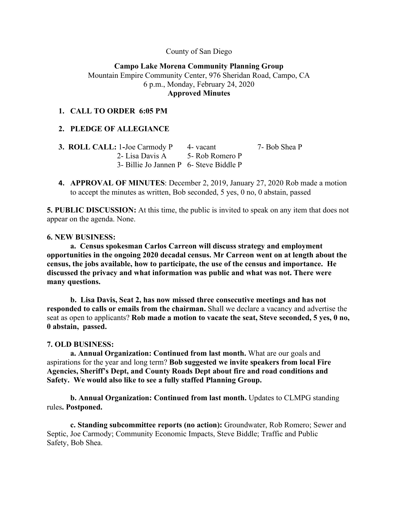County of San Diego

## **Campo Lake Morena Community Planning Group** Mountain Empire Community Center, 976 Sheridan Road, Campo, CA 6 p.m., Monday, February 24, 2020 **Approved Minutes**

## **1. CALL TO ORDER 6:05 PM**

## **2. PLEDGE OF ALLEGIANCE**

| <b>3. ROLL CALL: 1-Joe Carmody P</b>    | 4- vacant | 7- Bob Shea P |
|-----------------------------------------|-----------|---------------|
| 2- Lisa Davis A 5- Rob Romero P         |           |               |
| 3- Billie Jo Jannen P 6- Steve Biddle P |           |               |

**4. APPROVAL OF MINUTES**: December 2, 2019, January 27, 2020 Rob made a motion to accept the minutes as written, Bob seconded, 5 yes, 0 no, 0 abstain, passed

**5. PUBLIC DISCUSSION:** At this time, the public is invited to speak on any item that does not appear on the agenda. None.

#### **6. NEW BUSINESS:**

**a. Census spokesman Carlos Carreon will discuss strategy and employment opportunities in the ongoing 2020 decadal census. Mr Carreon went on at length about the census, the jobs available, how to participate, the use of the census and importance. He discussed the privacy and what information was public and what was not. There were many questions.**

**b. Lisa Davis, Seat 2, has now missed three consecutive meetings and has not responded to calls or emails from the chairman.** Shall we declare a vacancy and advertise the seat as open to applicants? **Rob made a motion to vacate the seat, Steve seconded, 5 yes, 0 no, 0 abstain, passed.**

### **7. OLD BUSINESS:**

**a. Annual Organization: Continued from last month.** What are our goals and aspirations for the year and long term? **Bob suggested we invite speakers from local Fire Agencies, Sheriff's Dept, and County Roads Dept about fire and road conditions and Safety. We would also like to see a fully staffed Planning Group.**

**b. Annual Organization: Continued from last month.** Updates to CLMPG standing rules**. Postponed.**

**c. Standing subcommittee reports (no action):** Groundwater, Rob Romero; Sewer and Septic, Joe Carmody; Community Economic Impacts, Steve Biddle; Traffic and Public Safety, Bob Shea.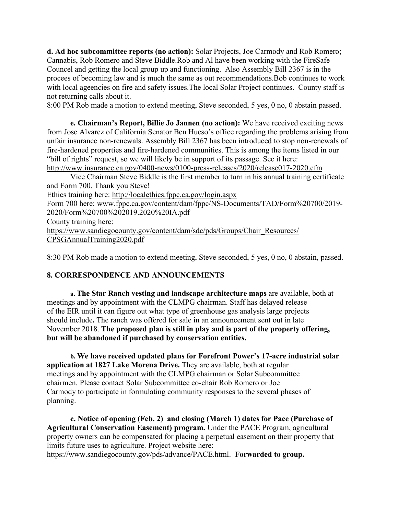**d. Ad hoc subcommittee reports (no action):** Solar Projects, Joe Carmody and Rob Romero; Cannabis, Rob Romero and Steve Biddle.Rob and Al have been working with the FireSafe Councel and getting the local group up and functioning. Also Assembly Bill 2367 is in the procees of becoming law and is much the same as out recommendations.Bob continues to work with local ageencies on fire and safety issues.The local Solar Project continues. County staff is not returning calls about it.

8:00 PM Rob made a motion to extend meeting, Steve seconded, 5 yes, 0 no, 0 abstain passed.

**e. Chairman's Report, Billie Jo Jannen (no action):** We have received exciting news from Jose Alvarez of California Senator Ben Hueso's office regarding the problems arising from unfair insurance non-renewals. Assembly Bill 2367 has been introduced to stop non-renewals of fire-hardened properties and fire-hardened communities. This is among the items listed in our "bill of rights" request, so we will likely be in support of its passage. See it here: http://www.insurance.ca.gov/0400-news/0100-press-releases/2020/release017-2020.cfm

Vice Chairman Steve Biddle is the first member to turn in his annual training certificate and Form 700. Thank you Steve!

Ethics training here: http://localethics.fppc.ca.gov/login.aspx

Form 700 here: www.fppc.ca.gov/content/dam/fppc/NS-Documents/TAD/Form%20700/2019- 2020/Form%20700%202019.2020%20IA.pdf

County training here:

https://www.sandiegocounty.gov/content/dam/sdc/pds/Groups/Chair\_Resources/ CPSGAnnualTraining2020.pdf

8:30 PM Rob made a motion to extend meeting, Steve seconded, 5 yes, 0 no, 0 abstain, passed.

# **8. CORRESPONDENCE AND ANNOUNCEMENTS**

**a. The Star Ranch vesting and landscape architecture maps** are available, both at meetings and by appointment with the CLMPG chairman. Staff has delayed release of the EIR until it can figure out what type of greenhouse gas analysis large projects should include**.** The ranch was offered for sale in an announcement sent out in late November 2018. **The proposed plan is still in play and is part of the property offering, but will be abandoned if purchased by conservation entities.**

**b. We have received updated plans for Forefront Power's 17-acre industrial solar application at 1827 Lake Morena Drive.** They are available, both at regular meetings and by appointment with the CLMPG chairman or Solar Subcommittee chairmen. Please contact Solar Subcommittee co-chair Rob Romero or Joe Carmody to participate in formulating community responses to the several phases of planning.

**c. Notice of opening (Feb. 2) and closing (March 1) dates for Pace (Purchase of Agricultural Conservation Easement) program.** Under the PACE Program, agricultural property owners can be compensated for placing a perpetual easement on their property that limits future uses to agriculture. Project website here: https://www.sandiegocounty.gov/pds/advance/PACE.html. **Forwarded to group.**